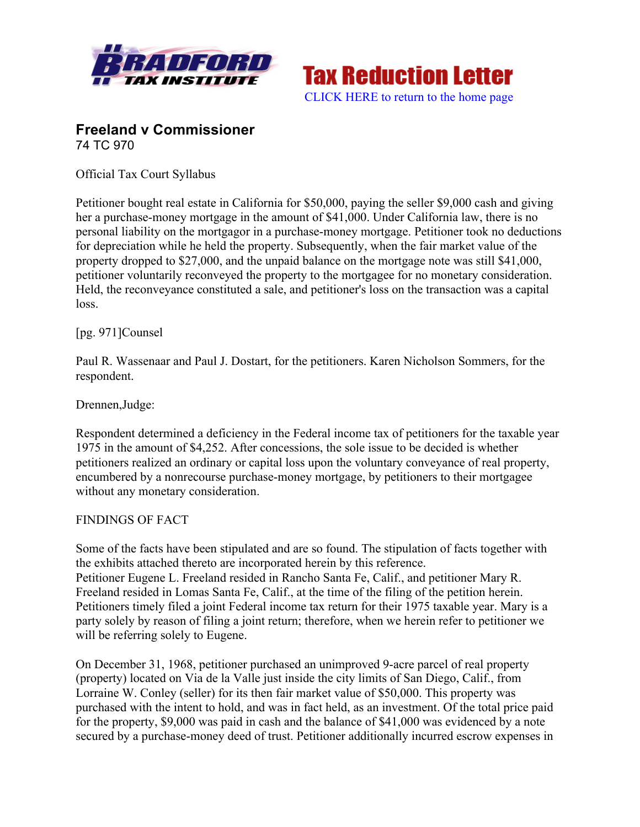



## **Freeland v Commissioner** 74 TC 970

Official Tax Court Syllabus

Petitioner bought real estate in California for \$50,000, paying the seller \$9,000 cash and giving her a purchase-money mortgage in the amount of \$41,000. Under California law, there is no personal liability on the mortgagor in a purchase-money mortgage. Petitioner took no deductions for depreciation while he held the property. Subsequently, when the fair market value of the property dropped to \$27,000, and the unpaid balance on the mortgage note was still \$41,000, petitioner voluntarily reconveyed the property to the mortgagee for no monetary consideration. Held, the reconveyance constituted a sale, and petitioner's loss on the transaction was a capital loss.

## [pg. 971]Counsel

Paul R. Wassenaar and Paul J. Dostart, for the petitioners. Karen Nicholson Sommers, for the respondent.

Drennen,Judge:

Respondent determined a deficiency in the Federal income tax of petitioners for the taxable year 1975 in the amount of \$4,252. After concessions, the sole issue to be decided is whether petitioners realized an ordinary or capital loss upon the voluntary conveyance of real property, encumbered by a nonrecourse purchase-money mortgage, by petitioners to their mortgagee without any monetary consideration.

## FINDINGS OF FACT

Some of the facts have been stipulated and are so found. The stipulation of facts together with the exhibits attached thereto are incorporated herein by this reference. Petitioner Eugene L. Freeland resided in Rancho Santa Fe, Calif., and petitioner Mary R. Freeland resided in Lomas Santa Fe, Calif., at the time of the filing of the petition herein. Petitioners timely filed a joint Federal income tax return for their 1975 taxable year. Mary is a party solely by reason of filing a joint return; therefore, when we herein refer to petitioner we will be referring solely to Eugene.

On December 31, 1968, petitioner purchased an unimproved 9-acre parcel of real property (property) located on Via de la Valle just inside the city limits of San Diego, Calif., from Lorraine W. Conley (seller) for its then fair market value of \$50,000. This property was purchased with the intent to hold, and was in fact held, as an investment. Of the total price paid for the property, \$9,000 was paid in cash and the balance of \$41,000 was evidenced by a note secured by a purchase-money deed of trust. Petitioner additionally incurred escrow expenses in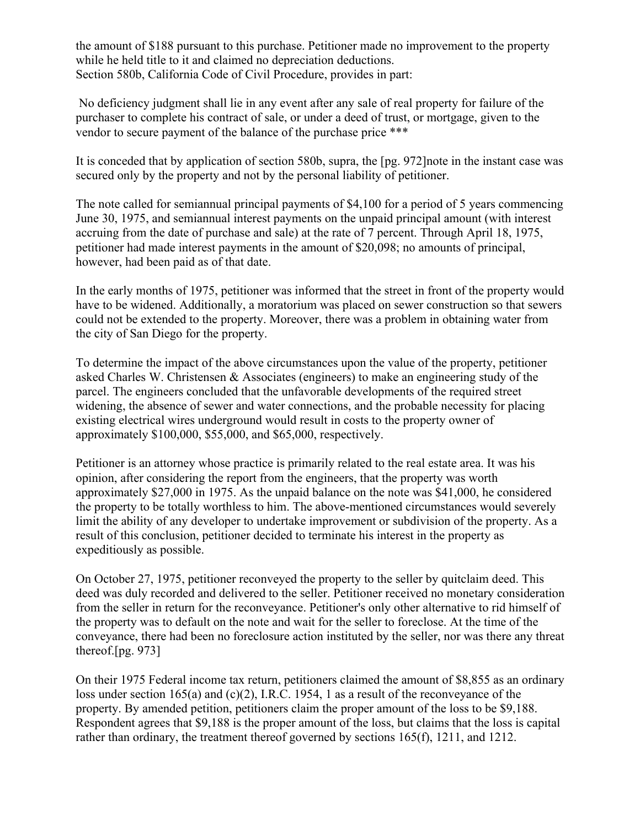the amount of \$188 pursuant to this purchase. Petitioner made no improvement to the property while he held title to it and claimed no depreciation deductions. Section 580b, California Code of Civil Procedure, provides in part:

No deficiency judgment shall lie in any event after any sale of real property for failure of the purchaser to complete his contract of sale, or under a deed of trust, or mortgage, given to the vendor to secure payment of the balance of the purchase price \*\*\*

It is conceded that by application of section 580b, supra, the [pg. 972]note in the instant case was secured only by the property and not by the personal liability of petitioner.

The note called for semiannual principal payments of \$4,100 for a period of 5 years commencing June 30, 1975, and semiannual interest payments on the unpaid principal amount (with interest accruing from the date of purchase and sale) at the rate of 7 percent. Through April 18, 1975, petitioner had made interest payments in the amount of \$20,098; no amounts of principal, however, had been paid as of that date.

In the early months of 1975, petitioner was informed that the street in front of the property would have to be widened. Additionally, a moratorium was placed on sewer construction so that sewers could not be extended to the property. Moreover, there was a problem in obtaining water from the city of San Diego for the property.

To determine the impact of the above circumstances upon the value of the property, petitioner asked Charles W. Christensen & Associates (engineers) to make an engineering study of the parcel. The engineers concluded that the unfavorable developments of the required street widening, the absence of sewer and water connections, and the probable necessity for placing existing electrical wires underground would result in costs to the property owner of approximately \$100,000, \$55,000, and \$65,000, respectively.

Petitioner is an attorney whose practice is primarily related to the real estate area. It was his opinion, after considering the report from the engineers, that the property was worth approximately \$27,000 in 1975. As the unpaid balance on the note was \$41,000, he considered the property to be totally worthless to him. The above-mentioned circumstances would severely limit the ability of any developer to undertake improvement or subdivision of the property. As a result of this conclusion, petitioner decided to terminate his interest in the property as expeditiously as possible.

On October 27, 1975, petitioner reconveyed the property to the seller by quitclaim deed. This deed was duly recorded and delivered to the seller. Petitioner received no monetary consideration from the seller in return for the reconveyance. Petitioner's only other alternative to rid himself of the property was to default on the note and wait for the seller to foreclose. At the time of the conveyance, there had been no foreclosure action instituted by the seller, nor was there any threat thereof.[pg. 973]

On their 1975 Federal income tax return, petitioners claimed the amount of \$8,855 as an ordinary loss under section 165(a) and (c)(2), I.R.C. 1954, 1 as a result of the reconveyance of the property. By amended petition, petitioners claim the proper amount of the loss to be \$9,188. Respondent agrees that \$9,188 is the proper amount of the loss, but claims that the loss is capital rather than ordinary, the treatment thereof governed by sections 165(f), 1211, and 1212.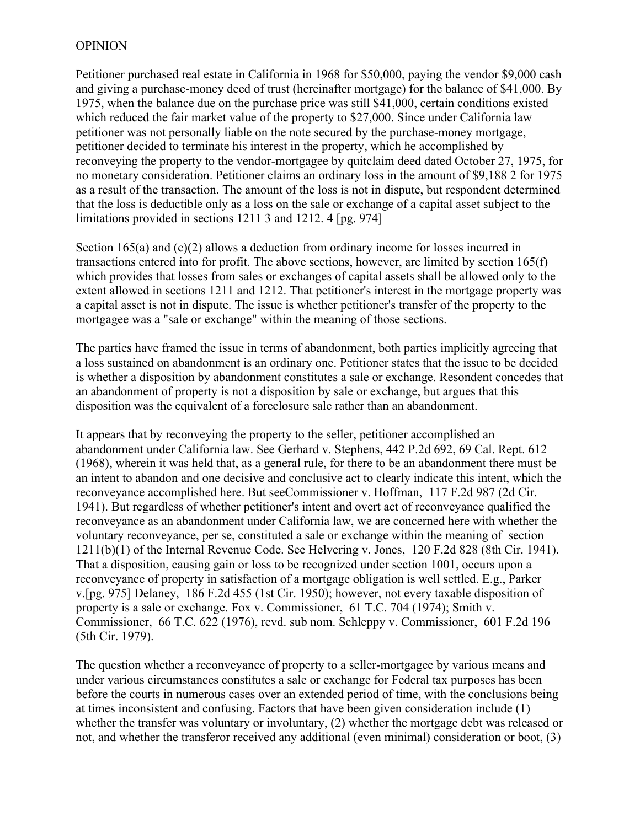## **OPINION**

Petitioner purchased real estate in California in 1968 for \$50,000, paying the vendor \$9,000 cash and giving a purchase-money deed of trust (hereinafter mortgage) for the balance of \$41,000. By 1975, when the balance due on the purchase price was still \$41,000, certain conditions existed which reduced the fair market value of the property to \$27,000. Since under California law petitioner was not personally liable on the note secured by the purchase-money mortgage, petitioner decided to terminate his interest in the property, which he accomplished by reconveying the property to the vendor-mortgagee by quitclaim deed dated October 27, 1975, for no monetary consideration. Petitioner claims an ordinary loss in the amount of \$9,188 2 for 1975 as a result of the transaction. The amount of the loss is not in dispute, but respondent determined that the loss is deductible only as a loss on the sale or exchange of a capital asset subject to the limitations provided in sections 1211 3 and 1212. 4 [pg. 974]

Section 165(a) and (c)(2) allows a deduction from ordinary income for losses incurred in transactions entered into for profit. The above sections, however, are limited by section 165(f) which provides that losses from sales or exchanges of capital assets shall be allowed only to the extent allowed in sections 1211 and 1212. That petitioner's interest in the mortgage property was a capital asset is not in dispute. The issue is whether petitioner's transfer of the property to the mortgagee was a "sale or exchange" within the meaning of those sections.

The parties have framed the issue in terms of abandonment, both parties implicitly agreeing that a loss sustained on abandonment is an ordinary one. Petitioner states that the issue to be decided is whether a disposition by abandonment constitutes a sale or exchange. Resondent concedes that an abandonment of property is not a disposition by sale or exchange, but argues that this disposition was the equivalent of a foreclosure sale rather than an abandonment.

It appears that by reconveying the property to the seller, petitioner accomplished an abandonment under California law. See Gerhard v. Stephens, 442 P.2d 692, 69 Cal. Rept. 612 (1968), wherein it was held that, as a general rule, for there to be an abandonment there must be an intent to abandon and one decisive and conclusive act to clearly indicate this intent, which the reconveyance accomplished here. But seeCommissioner v. Hoffman, 117 F.2d 987 (2d Cir. 1941). But regardless of whether petitioner's intent and overt act of reconveyance qualified the reconveyance as an abandonment under California law, we are concerned here with whether the voluntary reconveyance, per se, constituted a sale or exchange within the meaning of section 1211(b)(1) of the Internal Revenue Code. See Helvering v. Jones, 120 F.2d 828 (8th Cir. 1941). That a disposition, causing gain or loss to be recognized under section 1001, occurs upon a reconveyance of property in satisfaction of a mortgage obligation is well settled. E.g., Parker v.[pg. 975] Delaney, 186 F.2d 455 (1st Cir. 1950); however, not every taxable disposition of property is a sale or exchange. Fox v. Commissioner, 61 T.C. 704 (1974); Smith v. Commissioner, 66 T.C. 622 (1976), revd. sub nom. Schleppy v. Commissioner, 601 F.2d 196 (5th Cir. 1979).

The question whether a reconveyance of property to a seller-mortgagee by various means and under various circumstances constitutes a sale or exchange for Federal tax purposes has been before the courts in numerous cases over an extended period of time, with the conclusions being at times inconsistent and confusing. Factors that have been given consideration include (1) whether the transfer was voluntary or involuntary, (2) whether the mortgage debt was released or not, and whether the transferor received any additional (even minimal) consideration or boot, (3)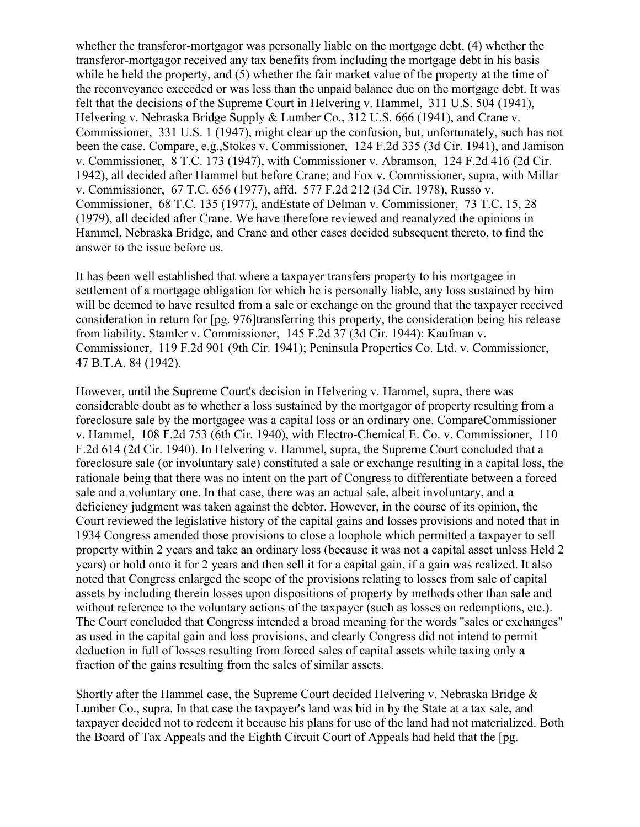whether the transferor-mortgagor was personally liable on the mortgage debt, (4) whether the transferor-mortgagor received any tax benefits from including the mortgage debt in his basis while he held the property, and (5) whether the fair market value of the property at the time of the reconveyance exceeded or was less than the unpaid balance due on the mortgage debt. It was felt that the decisions of the Supreme Court in Helvering v. Hammel, 311 U.S. 504 (1941), Helvering v. Nebraska Bridge Supply & Lumber Co., 312 U.S. 666 (1941), and Crane v. Commissioner, 331 U.S. 1 (1947), might clear up the confusion, but, unfortunately, such has not been the case. Compare, e.g.,Stokes v. Commissioner, 124 F.2d 335 (3d Cir. 1941), and Jamison v. Commissioner, 8 T.C. 173 (1947), with Commissioner v. Abramson, 124 F.2d 416 (2d Cir. 1942), all decided after Hammel but before Crane; and Fox v. Commissioner, supra, with Millar v. Commissioner, 67 T.C. 656 (1977), affd. 577 F.2d 212 (3d Cir. 1978), Russo v. Commissioner, 68 T.C. 135 (1977), andEstate of Delman v. Commissioner, 73 T.C. 15, 28 (1979), all decided after Crane. We have therefore reviewed and reanalyzed the opinions in Hammel, Nebraska Bridge, and Crane and other cases decided subsequent thereto, to find the answer to the issue before us.

It has been well established that where a taxpayer transfers property to his mortgagee in settlement of a mortgage obligation for which he is personally liable, any loss sustained by him will be deemed to have resulted from a sale or exchange on the ground that the taxpayer received consideration in return for [pg. 976]transferring this property, the consideration being his release from liability. Stamler v. Commissioner, 145 F.2d 37 (3d Cir. 1944); Kaufman v. Commissioner, 119 F.2d 901 (9th Cir. 1941); Peninsula Properties Co. Ltd. v. Commissioner, 47 B.T.A. 84 (1942).

However, until the Supreme Court's decision in Helvering v. Hammel, supra, there was considerable doubt as to whether a loss sustained by the mortgagor of property resulting from a foreclosure sale by the mortgagee was a capital loss or an ordinary one. CompareCommissioner v. Hammel, 108 F.2d 753 (6th Cir. 1940), with Electro-Chemical E. Co. v. Commissioner, 110 F.2d 614 (2d Cir. 1940). In Helvering v. Hammel, supra, the Supreme Court concluded that a foreclosure sale (or involuntary sale) constituted a sale or exchange resulting in a capital loss, the rationale being that there was no intent on the part of Congress to differentiate between a forced sale and a voluntary one. In that case, there was an actual sale, albeit involuntary, and a deficiency judgment was taken against the debtor. However, in the course of its opinion, the Court reviewed the legislative history of the capital gains and losses provisions and noted that in 1934 Congress amended those provisions to close a loophole which permitted a taxpayer to sell property within 2 years and take an ordinary loss (because it was not a capital asset unless Held 2 years) or hold onto it for 2 years and then sell it for a capital gain, if a gain was realized. It also noted that Congress enlarged the scope of the provisions relating to losses from sale of capital assets by including therein losses upon dispositions of property by methods other than sale and without reference to the voluntary actions of the taxpayer (such as losses on redemptions, etc.). The Court concluded that Congress intended a broad meaning for the words "sales or exchanges" as used in the capital gain and loss provisions, and clearly Congress did not intend to permit deduction in full of losses resulting from forced sales of capital assets while taxing only a fraction of the gains resulting from the sales of similar assets.

Shortly after the Hammel case, the Supreme Court decided Helvering v. Nebraska Bridge  $\&$ Lumber Co., supra. In that case the taxpayer's land was bid in by the State at a tax sale, and taxpayer decided not to redeem it because his plans for use of the land had not materialized. Both the Board of Tax Appeals and the Eighth Circuit Court of Appeals had held that the [pg.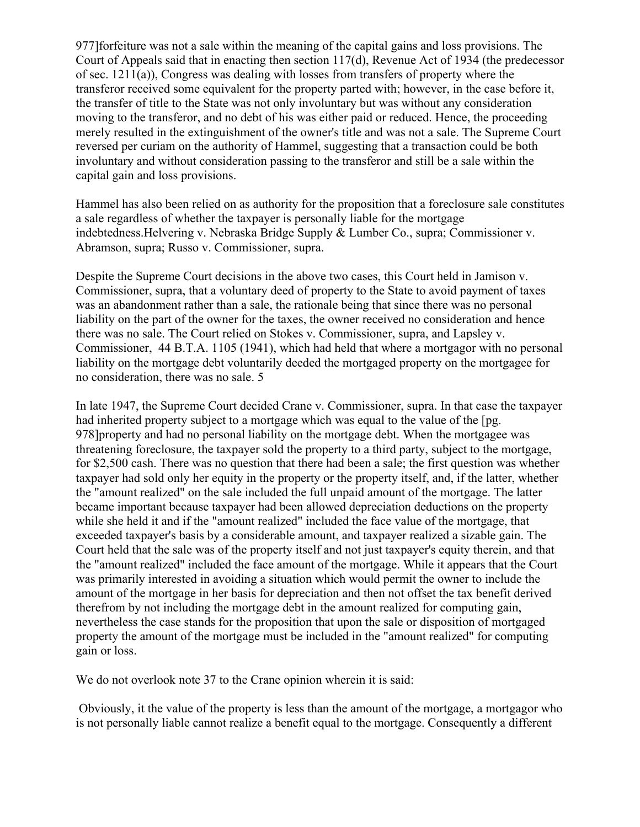977]forfeiture was not a sale within the meaning of the capital gains and loss provisions. The Court of Appeals said that in enacting then section 117(d), Revenue Act of 1934 (the predecessor of sec. 1211(a)), Congress was dealing with losses from transfers of property where the transferor received some equivalent for the property parted with; however, in the case before it, the transfer of title to the State was not only involuntary but was without any consideration moving to the transferor, and no debt of his was either paid or reduced. Hence, the proceeding merely resulted in the extinguishment of the owner's title and was not a sale. The Supreme Court reversed per curiam on the authority of Hammel, suggesting that a transaction could be both involuntary and without consideration passing to the transferor and still be a sale within the capital gain and loss provisions.

Hammel has also been relied on as authority for the proposition that a foreclosure sale constitutes a sale regardless of whether the taxpayer is personally liable for the mortgage indebtedness.Helvering v. Nebraska Bridge Supply & Lumber Co., supra; Commissioner v. Abramson, supra; Russo v. Commissioner, supra.

Despite the Supreme Court decisions in the above two cases, this Court held in Jamison v. Commissioner, supra, that a voluntary deed of property to the State to avoid payment of taxes was an abandonment rather than a sale, the rationale being that since there was no personal liability on the part of the owner for the taxes, the owner received no consideration and hence there was no sale. The Court relied on Stokes v. Commissioner, supra, and Lapsley v. Commissioner, 44 B.T.A. 1105 (1941), which had held that where a mortgagor with no personal liability on the mortgage debt voluntarily deeded the mortgaged property on the mortgagee for no consideration, there was no sale. 5

In late 1947, the Supreme Court decided Crane v. Commissioner, supra. In that case the taxpayer had inherited property subject to a mortgage which was equal to the value of the [pg. 978]property and had no personal liability on the mortgage debt. When the mortgagee was threatening foreclosure, the taxpayer sold the property to a third party, subject to the mortgage, for \$2,500 cash. There was no question that there had been a sale; the first question was whether taxpayer had sold only her equity in the property or the property itself, and, if the latter, whether the "amount realized" on the sale included the full unpaid amount of the mortgage. The latter became important because taxpayer had been allowed depreciation deductions on the property while she held it and if the "amount realized" included the face value of the mortgage, that exceeded taxpayer's basis by a considerable amount, and taxpayer realized a sizable gain. The Court held that the sale was of the property itself and not just taxpayer's equity therein, and that the "amount realized" included the face amount of the mortgage. While it appears that the Court was primarily interested in avoiding a situation which would permit the owner to include the amount of the mortgage in her basis for depreciation and then not offset the tax benefit derived therefrom by not including the mortgage debt in the amount realized for computing gain, nevertheless the case stands for the proposition that upon the sale or disposition of mortgaged property the amount of the mortgage must be included in the "amount realized" for computing gain or loss.

We do not overlook note 37 to the Crane opinion wherein it is said:

Obviously, it the value of the property is less than the amount of the mortgage, a mortgagor who is not personally liable cannot realize a benefit equal to the mortgage. Consequently a different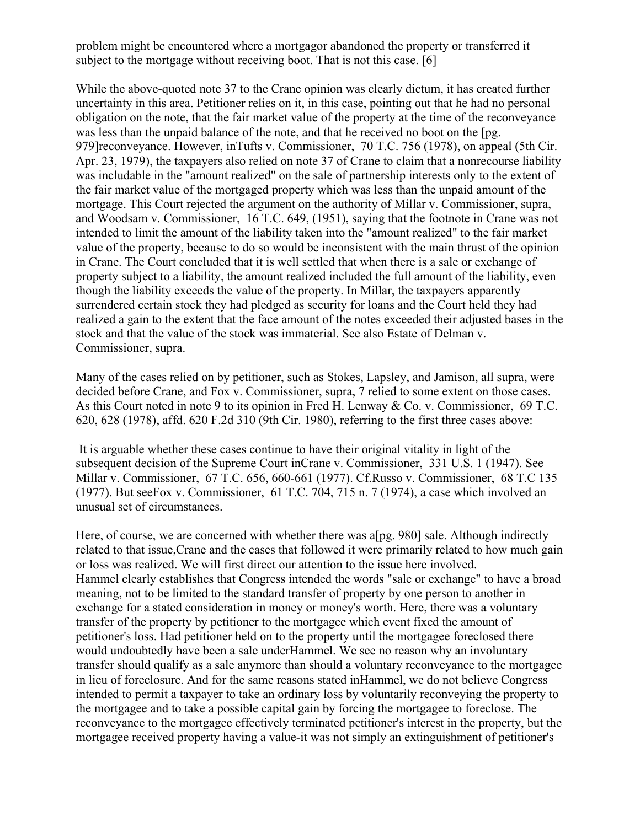problem might be encountered where a mortgagor abandoned the property or transferred it subject to the mortgage without receiving boot. That is not this case. [6]

While the above-quoted note 37 to the Crane opinion was clearly dictum, it has created further uncertainty in this area. Petitioner relies on it, in this case, pointing out that he had no personal obligation on the note, that the fair market value of the property at the time of the reconveyance was less than the unpaid balance of the note, and that he received no boot on the [pg. 979]reconveyance. However, inTufts v. Commissioner, 70 T.C. 756 (1978), on appeal (5th Cir. Apr. 23, 1979), the taxpayers also relied on note 37 of Crane to claim that a nonrecourse liability was includable in the "amount realized" on the sale of partnership interests only to the extent of the fair market value of the mortgaged property which was less than the unpaid amount of the mortgage. This Court rejected the argument on the authority of Millar v. Commissioner, supra, and Woodsam v. Commissioner, 16 T.C. 649, (1951), saying that the footnote in Crane was not intended to limit the amount of the liability taken into the "amount realized" to the fair market value of the property, because to do so would be inconsistent with the main thrust of the opinion in Crane. The Court concluded that it is well settled that when there is a sale or exchange of property subject to a liability, the amount realized included the full amount of the liability, even though the liability exceeds the value of the property. In Millar, the taxpayers apparently surrendered certain stock they had pledged as security for loans and the Court held they had realized a gain to the extent that the face amount of the notes exceeded their adjusted bases in the stock and that the value of the stock was immaterial. See also Estate of Delman v. Commissioner, supra.

Many of the cases relied on by petitioner, such as Stokes, Lapsley, and Jamison, all supra, were decided before Crane, and Fox v. Commissioner, supra, 7 relied to some extent on those cases. As this Court noted in note 9 to its opinion in Fred H. Lenway & Co. v. Commissioner, 69 T.C. 620, 628 (1978), affd. 620 F.2d 310 (9th Cir. 1980), referring to the first three cases above:

It is arguable whether these cases continue to have their original vitality in light of the subsequent decision of the Supreme Court inCrane v. Commissioner, 331 U.S. 1 (1947). See Millar v. Commissioner, 67 T.C. 656, 660-661 (1977). Cf.Russo v. Commissioner, 68 T.C 135 (1977). But seeFox v. Commissioner, 61 T.C. 704, 715 n. 7 (1974), a case which involved an unusual set of circumstances.

Here, of course, we are concerned with whether there was a[pg. 980] sale. Although indirectly related to that issue,Crane and the cases that followed it were primarily related to how much gain or loss was realized. We will first direct our attention to the issue here involved. Hammel clearly establishes that Congress intended the words "sale or exchange" to have a broad meaning, not to be limited to the standard transfer of property by one person to another in exchange for a stated consideration in money or money's worth. Here, there was a voluntary transfer of the property by petitioner to the mortgagee which event fixed the amount of petitioner's loss. Had petitioner held on to the property until the mortgagee foreclosed there would undoubtedly have been a sale underHammel. We see no reason why an involuntary transfer should qualify as a sale anymore than should a voluntary reconveyance to the mortgagee in lieu of foreclosure. And for the same reasons stated inHammel, we do not believe Congress intended to permit a taxpayer to take an ordinary loss by voluntarily reconveying the property to the mortgagee and to take a possible capital gain by forcing the mortgagee to foreclose. The reconveyance to the mortgagee effectively terminated petitioner's interest in the property, but the mortgagee received property having a value-it was not simply an extinguishment of petitioner's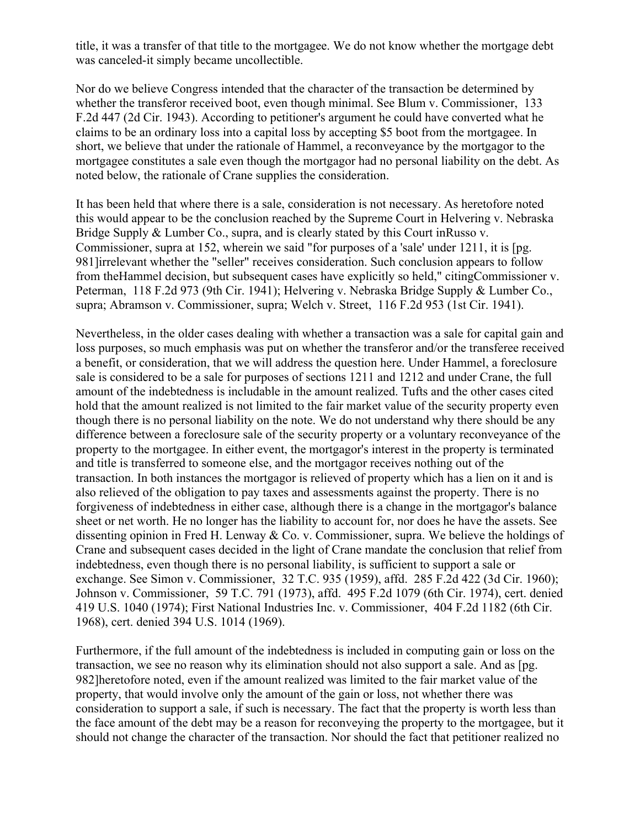title, it was a transfer of that title to the mortgagee. We do not know whether the mortgage debt was canceled-it simply became uncollectible.

Nor do we believe Congress intended that the character of the transaction be determined by whether the transferor received boot, even though minimal. See Blum v. Commissioner, 133 F.2d 447 (2d Cir. 1943). According to petitioner's argument he could have converted what he claims to be an ordinary loss into a capital loss by accepting \$5 boot from the mortgagee. In short, we believe that under the rationale of Hammel, a reconveyance by the mortgagor to the mortgagee constitutes a sale even though the mortgagor had no personal liability on the debt. As noted below, the rationale of Crane supplies the consideration.

It has been held that where there is a sale, consideration is not necessary. As heretofore noted this would appear to be the conclusion reached by the Supreme Court in Helvering v. Nebraska Bridge Supply & Lumber Co., supra, and is clearly stated by this Court in Russo v. Commissioner, supra at 152, wherein we said "for purposes of a 'sale' under 1211, it is [pg. 981]irrelevant whether the "seller" receives consideration. Such conclusion appears to follow from theHammel decision, but subsequent cases have explicitly so held," citingCommissioner v. Peterman, 118 F.2d 973 (9th Cir. 1941); Helvering v. Nebraska Bridge Supply & Lumber Co., supra; Abramson v. Commissioner, supra; Welch v. Street, 116 F.2d 953 (1st Cir. 1941).

Nevertheless, in the older cases dealing with whether a transaction was a sale for capital gain and loss purposes, so much emphasis was put on whether the transferor and/or the transferee received a benefit, or consideration, that we will address the question here. Under Hammel, a foreclosure sale is considered to be a sale for purposes of sections 1211 and 1212 and under Crane, the full amount of the indebtedness is includable in the amount realized. Tufts and the other cases cited hold that the amount realized is not limited to the fair market value of the security property even though there is no personal liability on the note. We do not understand why there should be any difference between a foreclosure sale of the security property or a voluntary reconveyance of the property to the mortgagee. In either event, the mortgagor's interest in the property is terminated and title is transferred to someone else, and the mortgagor receives nothing out of the transaction. In both instances the mortgagor is relieved of property which has a lien on it and is also relieved of the obligation to pay taxes and assessments against the property. There is no forgiveness of indebtedness in either case, although there is a change in the mortgagor's balance sheet or net worth. He no longer has the liability to account for, nor does he have the assets. See dissenting opinion in Fred H. Lenway & Co. v. Commissioner, supra. We believe the holdings of Crane and subsequent cases decided in the light of Crane mandate the conclusion that relief from indebtedness, even though there is no personal liability, is sufficient to support a sale or exchange. See Simon v. Commissioner, 32 T.C. 935 (1959), affd. 285 F.2d 422 (3d Cir. 1960); Johnson v. Commissioner, 59 T.C. 791 (1973), affd. 495 F.2d 1079 (6th Cir. 1974), cert. denied 419 U.S. 1040 (1974); First National Industries Inc. v. Commissioner, 404 F.2d 1182 (6th Cir. 1968), cert. denied 394 U.S. 1014 (1969).

Furthermore, if the full amount of the indebtedness is included in computing gain or loss on the transaction, we see no reason why its elimination should not also support a sale. And as [pg. 982]heretofore noted, even if the amount realized was limited to the fair market value of the property, that would involve only the amount of the gain or loss, not whether there was consideration to support a sale, if such is necessary. The fact that the property is worth less than the face amount of the debt may be a reason for reconveying the property to the mortgagee, but it should not change the character of the transaction. Nor should the fact that petitioner realized no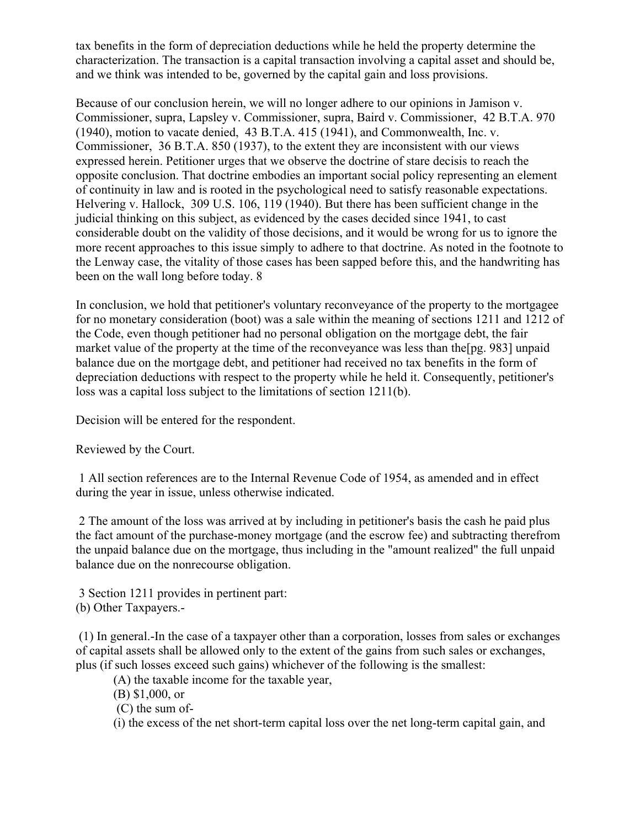tax benefits in the form of depreciation deductions while he held the property determine the characterization. The transaction is a capital transaction involving a capital asset and should be, and we think was intended to be, governed by the capital gain and loss provisions.

Because of our conclusion herein, we will no longer adhere to our opinions in Jamison v. Commissioner, supra, Lapsley v. Commissioner, supra, Baird v. Commissioner, 42 B.T.A. 970 (1940), motion to vacate denied, 43 B.T.A. 415 (1941), and Commonwealth, Inc. v. Commissioner, 36 B.T.A. 850 (1937), to the extent they are inconsistent with our views expressed herein. Petitioner urges that we observe the doctrine of stare decisis to reach the opposite conclusion. That doctrine embodies an important social policy representing an element of continuity in law and is rooted in the psychological need to satisfy reasonable expectations. Helvering v. Hallock, 309 U.S. 106, 119 (1940). But there has been sufficient change in the judicial thinking on this subject, as evidenced by the cases decided since 1941, to cast considerable doubt on the validity of those decisions, and it would be wrong for us to ignore the more recent approaches to this issue simply to adhere to that doctrine. As noted in the footnote to the Lenway case, the vitality of those cases has been sapped before this, and the handwriting has been on the wall long before today. 8

In conclusion, we hold that petitioner's voluntary reconveyance of the property to the mortgagee for no monetary consideration (boot) was a sale within the meaning of sections 1211 and 1212 of the Code, even though petitioner had no personal obligation on the mortgage debt, the fair market value of the property at the time of the reconveyance was less than the[pg. 983] unpaid balance due on the mortgage debt, and petitioner had received no tax benefits in the form of depreciation deductions with respect to the property while he held it. Consequently, petitioner's loss was a capital loss subject to the limitations of section 1211(b).

Decision will be entered for the respondent.

Reviewed by the Court.

1 All section references are to the Internal Revenue Code of 1954, as amended and in effect during the year in issue, unless otherwise indicated.

2 The amount of the loss was arrived at by including in petitioner's basis the cash he paid plus the fact amount of the purchase-money mortgage (and the escrow fee) and subtracting therefrom the unpaid balance due on the mortgage, thus including in the "amount realized" the full unpaid balance due on the nonrecourse obligation.

3 Section 1211 provides in pertinent part: (b) Other Taxpayers.-

(1) In general.-In the case of a taxpayer other than a corporation, losses from sales or exchanges of capital assets shall be allowed only to the extent of the gains from such sales or exchanges, plus (if such losses exceed such gains) whichever of the following is the smallest:

(A) the taxable income for the taxable year,

(B) \$1,000, or

(C) the sum of-

(i) the excess of the net short-term capital loss over the net long-term capital gain, and